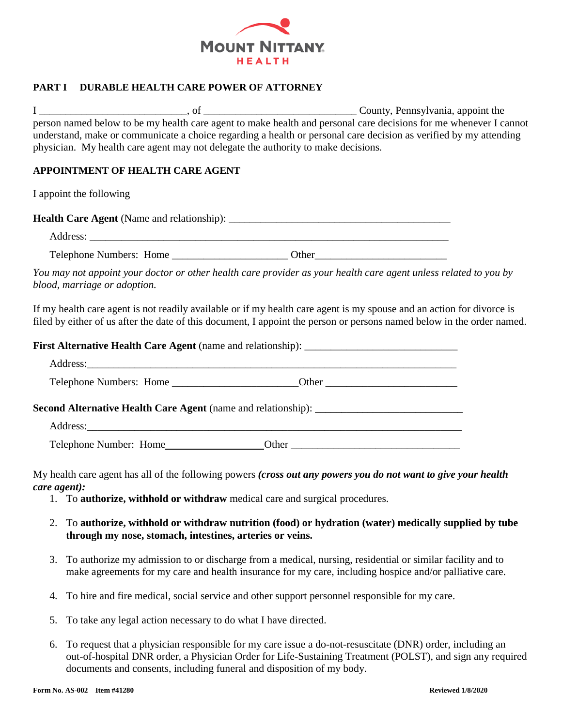

#### **PART I DURABLE HEALTH CARE POWER OF ATTORNEY**

I \_\_\_\_\_\_\_\_\_\_\_\_\_\_\_\_\_\_\_\_\_\_\_\_\_\_\_\_, of \_\_\_\_\_\_\_\_\_\_\_\_\_\_\_\_\_\_\_\_\_\_\_\_\_\_\_\_\_ County, Pennsylvania, appoint the person named below to be my health care agent to make health and personal care decisions for me whenever I cannot understand, make or communicate a choice regarding a health or personal care decision as verified by my attending physician. My health care agent may not delegate the authority to make decisions.

#### **APPOINTMENT OF HEALTH CARE AGENT**

I appoint the following

| <b>Health Care Agent</b> (Name and relationship): |  |
|---------------------------------------------------|--|
| Address:                                          |  |

Telephone Numbers: Home \_\_\_\_\_\_\_\_\_\_\_\_\_\_\_\_\_\_\_\_\_\_ Other\_\_\_\_\_\_\_\_\_\_\_\_\_\_\_\_\_\_\_\_\_\_\_\_\_

*You may not appoint your doctor or other health care provider as your health care agent unless related to you by blood, marriage or adoption.*

If my health care agent is not readily available or if my health care agent is my spouse and an action for divorce is filed by either of us after the date of this document, I appoint the person or persons named below in the order named.

| <b>Second Alternative Health Care Agent</b> (name and relationship): |  |
|----------------------------------------------------------------------|--|
|                                                                      |  |
| Telephone Number: Home                                               |  |

My health care agent has all of the following powers *(cross out any powers you do not want to give your health care agent):*

- 1. To **authorize, withhold or withdraw** medical care and surgical procedures.
- 2. To **authorize, withhold or withdraw nutrition (food) or hydration (water) medically supplied by tube through my nose, stomach, intestines, arteries or veins.**
- 3. To authorize my admission to or discharge from a medical, nursing, residential or similar facility and to make agreements for my care and health insurance for my care, including hospice and/or palliative care.
- 4. To hire and fire medical, social service and other support personnel responsible for my care.
- 5. To take any legal action necessary to do what I have directed.
- 6. To request that a physician responsible for my care issue a do-not-resuscitate (DNR) order, including an out-of-hospital DNR order, a Physician Order for Life-Sustaining Treatment (POLST), and sign any required documents and consents, including funeral and disposition of my body.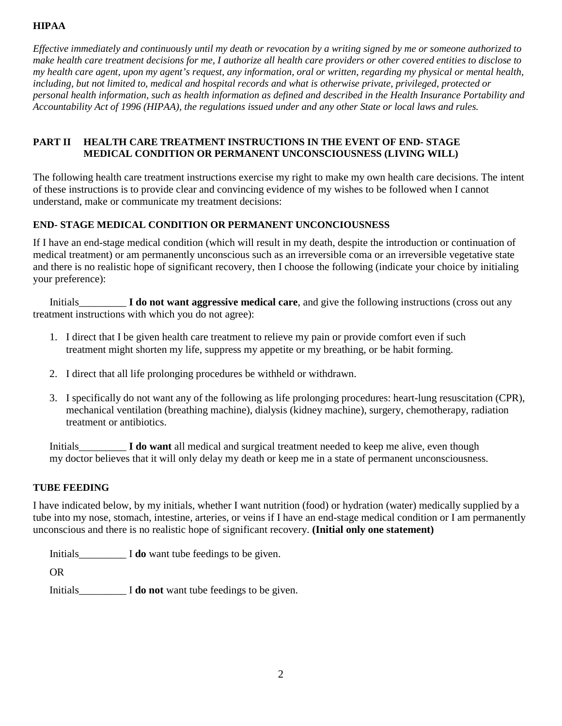### **HIPAA**

*Effective immediately and continuously until my death or revocation by a writing signed by me or someone authorized to make health care treatment decisions for me, I authorize all health care providers or other covered entities to disclose to my health care agent, upon my agent's request, any information, oral or written, regarding my physical or mental health, including, but not limited to, medical and hospital records and what is otherwise private, privileged, protected or personal health information, such as health information as defined and described in the Health Insurance Portability and Accountability Act of 1996 (HIPAA), the regulations issued under and any other State or local laws and rules.* 

#### **PART II HEALTH CARE TREATMENT INSTRUCTIONS IN THE EVENT OF END- STAGE MEDICAL CONDITION OR PERMANENT UNCONSCIOUSNESS (LIVING WILL)**

The following health care treatment instructions exercise my right to make my own health care decisions. The intent of these instructions is to provide clear and convincing evidence of my wishes to be followed when I cannot understand, make or communicate my treatment decisions:

# **END- STAGE MEDICAL CONDITION OR PERMANENT UNCONCIOUSNESS**

If I have an end-stage medical condition (which will result in my death, despite the introduction or continuation of medical treatment) or am permanently unconscious such as an irreversible coma or an irreversible vegetative state and there is no realistic hope of significant recovery, then I choose the following (indicate your choice by initialing your preference):

Initials\_\_\_\_\_\_\_\_\_ **I do not want aggressive medical care**, and give the following instructions (cross out any treatment instructions with which you do not agree):

- 1. I direct that I be given health care treatment to relieve my pain or provide comfort even if such treatment might shorten my life, suppress my appetite or my breathing, or be habit forming.
- 2. I direct that all life prolonging procedures be withheld or withdrawn.
- 3. I specifically do not want any of the following as life prolonging procedures: heart-lung resuscitation (CPR), mechanical ventilation (breathing machine), dialysis (kidney machine), surgery, chemotherapy, radiation treatment or antibiotics.

Initials\_\_\_\_\_\_\_\_\_ **I do want** all medical and surgical treatment needed to keep me alive, even though my doctor believes that it will only delay my death or keep me in a state of permanent unconsciousness.

### **TUBE FEEDING**

I have indicated below, by my initials, whether I want nutrition (food) or hydration (water) medically supplied by a tube into my nose, stomach, intestine, arteries, or veins if I have an end-stage medical condition or I am permanently unconscious and there is no realistic hope of significant recovery. **(Initial only one statement)**

Initials\_\_\_\_\_\_\_\_\_ I **do** want tube feedings to be given.

OR

Initials\_\_\_\_\_\_\_\_\_ I **do not** want tube feedings to be given.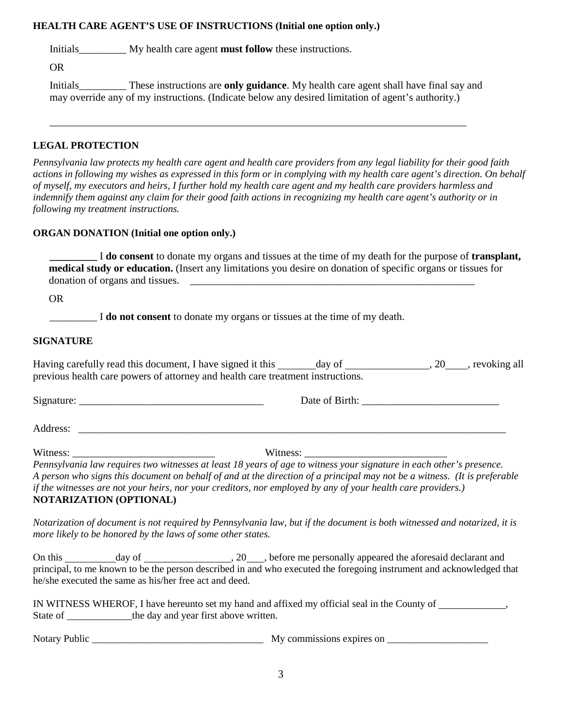#### **HEALTH CARE AGENT'S USE OF INSTRUCTIONS (Initial one option only.)**

Initials My health care agent **must follow** these instructions.

OR

Initials\_\_\_\_\_\_\_\_\_ These instructions are **only guidance**. My health care agent shall have final say and may override any of my instructions. (Indicate below any desired limitation of agent's authority.)

\_\_\_\_\_\_\_\_\_\_\_\_\_\_\_\_\_\_\_\_\_\_\_\_\_\_\_\_\_\_\_\_\_\_\_\_\_\_\_\_\_\_\_\_\_\_\_\_\_\_\_\_\_\_\_\_\_\_\_\_\_\_\_\_\_\_\_\_\_\_\_\_\_\_\_\_\_\_\_

### **LEGAL PROTECTION**

*Pennsylvania law protects my health care agent and health care providers from any legal liability for their good faith actions in following my wishes as expressed in this form or in complying with my health care agent's direction. On behalf of myself, my executors and heirs, I further hold my health care agent and my health care providers harmless and indemnify them against any claim for their good faith actions in recognizing my health care agent's authority or in following my treatment instructions.*

### **ORGAN DONATION (Initial one option only.)**

**\_\_\_\_\_\_\_\_\_** I **do consent** to donate my organs and tissues at the time of my death for the purpose of **transplant, medical study or education.** (Insert any limitations you desire on donation of specific organs or tissues for donation of organs and tissues.

OR

I **do not consent** to donate my organs or tissues at the time of my death.

### **SIGNATURE**

Having carefully read this document, I have signed it this day of , 20 , revoking all previous health care powers of attorney and health care treatment instructions.

Signature: \_\_\_\_\_\_\_\_\_\_\_\_\_\_\_\_\_\_\_\_\_\_\_\_\_\_\_\_\_\_\_\_\_\_\_ Date of Birth: \_\_\_\_\_\_\_\_\_\_\_\_\_\_\_\_\_\_\_\_\_\_\_\_\_\_

Address:

Witness: \_\_\_\_\_\_\_\_\_\_\_\_\_\_\_\_\_\_\_\_\_\_\_\_\_\_\_ Witness: \_\_\_\_\_\_\_\_\_\_\_\_\_\_\_\_\_\_\_\_\_\_\_\_\_\_\_

*Pennsylvania law requires two witnesses at least 18 years of age to witness your signature in each other's presence. A person who signs this document on behalf of and at the direction of a principal may not be a witness. (It is preferable if the witnesses are not your heirs, nor your creditors, nor employed by any of your health care providers.)* **NOTARIZATION (OPTIONAL)**

*Notarization of document is not required by Pennsylvania law, but if the document is both witnessed and notarized, it is more likely to be honored by the laws of some other states.*

On this day of , 20 , before me personally appeared the aforesaid declarant and principal, to me known to be the person described in and who executed the foregoing instrument and acknowledged that he/she executed the same as his/her free act and deed.

|          | IN WITNESS WHEROF, I have hereunto set my hand and affixed my official seal in the County of |  |
|----------|----------------------------------------------------------------------------------------------|--|
| State of | the day and year first above written.                                                        |  |

Notary Public \_\_\_\_\_\_\_\_\_\_\_\_\_\_\_\_\_\_\_\_\_\_\_\_\_\_\_\_\_\_\_\_\_\_ My commissions expires on \_\_\_\_\_\_\_\_\_\_\_\_\_\_\_\_\_\_\_\_